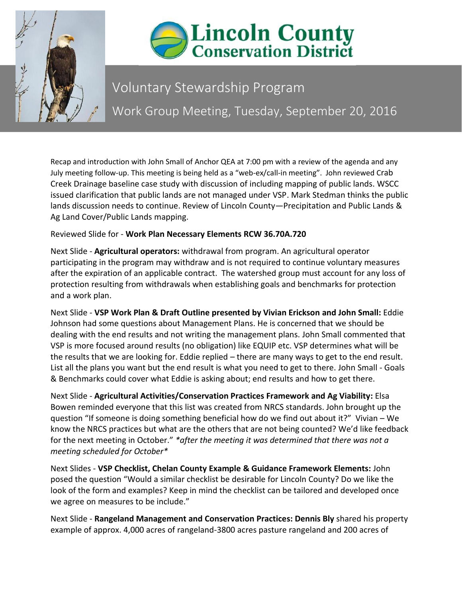



## Voluntary Stewardship Program Work Group Meeting, Tuesday, September 20, 2016

Recap and introduction with John Small of Anchor QEA at 7:00 pm with a review of the agenda and any July meeting follow-up. This meeting is being held as a "web-ex/call-in meeting". John reviewed Crab Creek Drainage baseline case study with discussion of including mapping of public lands. WSCC issued clarification that public lands are not managed under VSP. Mark Stedman thinks the public lands discussion needs to continue. Review of Lincoln County—Precipitation and Public Lands & Ag Land Cover/Public Lands mapping.

## Reviewed Slide for - **Work Plan Necessary Elements RCW 36.70A.720**

Next Slide - **Agricultural operators:** withdrawal from program. An agricultural operator participating in the program may withdraw and is not required to continue voluntary measures after the expiration of an applicable contract. The watershed group must account for any loss of protection resulting from withdrawals when establishing goals and benchmarks for protection and a work plan.

Next Slide - **VSP Work Plan & Draft Outline presented by Vivian Erickson and John Small:** Eddie Johnson had some questions about Management Plans. He is concerned that we should be dealing with the end results and not writing the management plans. John Small commented that VSP is more focused around results (no obligation) like EQUIP etc. VSP determines what will be the results that we are looking for. Eddie replied – there are many ways to get to the end result. List all the plans you want but the end result is what you need to get to there. John Small - Goals & Benchmarks could cover what Eddie is asking about; end results and how to get there.

Next Slide - **Agricultural Activities/Conservation Practices Framework and Ag Viability:** Elsa Bowen reminded everyone that this list was created from NRCS standards. John brought up the question "If someone is doing something beneficial how do we find out about it?" Vivian – We know the NRCS practices but what are the others that are not being counted? We'd like feedback for the next meeting in October." *\*after the meeting it was determined that there was not a meeting scheduled for October\**

Next Slides - **VSP Checklist, Chelan County Example & Guidance Framework Elements:** John posed the question "Would a similar checklist be desirable for Lincoln County? Do we like the look of the form and examples? Keep in mind the checklist can be tailored and developed once we agree on measures to be include."

Next Slide - **Rangeland Management and Conservation Practices: Dennis Bly** shared his property example of approx. 4,000 acres of rangeland-3800 acres pasture rangeland and 200 acres of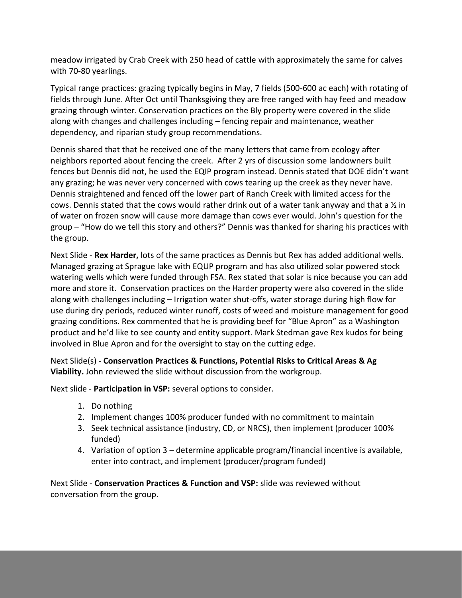meadow irrigated by Crab Creek with 250 head of cattle with approximately the same for calves with 70-80 yearlings.

Typical range practices: grazing typically begins in May, 7 fields (500-600 ac each) with rotating of fields through June. After Oct until Thanksgiving they are free ranged with hay feed and meadow grazing through winter. Conservation practices on the Bly property were covered in the slide along with changes and challenges including – fencing repair and maintenance, weather dependency, and riparian study group recommendations.

Dennis shared that that he received one of the many letters that came from ecology after neighbors reported about fencing the creek. After 2 yrs of discussion some landowners built fences but Dennis did not, he used the EQIP program instead. Dennis stated that DOE didn't want any grazing; he was never very concerned with cows tearing up the creek as they never have. Dennis straightened and fenced off the lower part of Ranch Creek with limited access for the cows. Dennis stated that the cows would rather drink out of a water tank anyway and that a  $\frac{1}{2}$  in of water on frozen snow will cause more damage than cows ever would. John's question for the group – "How do we tell this story and others?" Dennis was thanked for sharing his practices with the group.

Next Slide - **Rex Harder,** lots of the same practices as Dennis but Rex has added additional wells. Managed grazing at Sprague lake with EQUP program and has also utilized solar powered stock watering wells which were funded through FSA. Rex stated that solar is nice because you can add more and store it. Conservation practices on the Harder property were also covered in the slide along with challenges including – Irrigation water shut-offs, water storage during high flow for use during dry periods, reduced winter runoff, costs of weed and moisture management for good grazing conditions. Rex commented that he is providing beef for "Blue Apron" as a Washington product and he'd like to see county and entity support. Mark Stedman gave Rex kudos for being involved in Blue Apron and for the oversight to stay on the cutting edge.

Next Slide(s) - **Conservation Practices & Functions, Potential Risks to Critical Areas & Ag Viability.** John reviewed the slide without discussion from the workgroup.

Next slide - **Participation in VSP:** several options to consider.

- 1. Do nothing
- 2. Implement changes 100% producer funded with no commitment to maintain
- 3. Seek technical assistance (industry, CD, or NRCS), then implement (producer 100% funded)
- 4. Variation of option 3 determine applicable program/financial incentive is available, enter into contract, and implement (producer/program funded)

Next Slide - **Conservation Practices & Function and VSP:** slide was reviewed without conversation from the group.